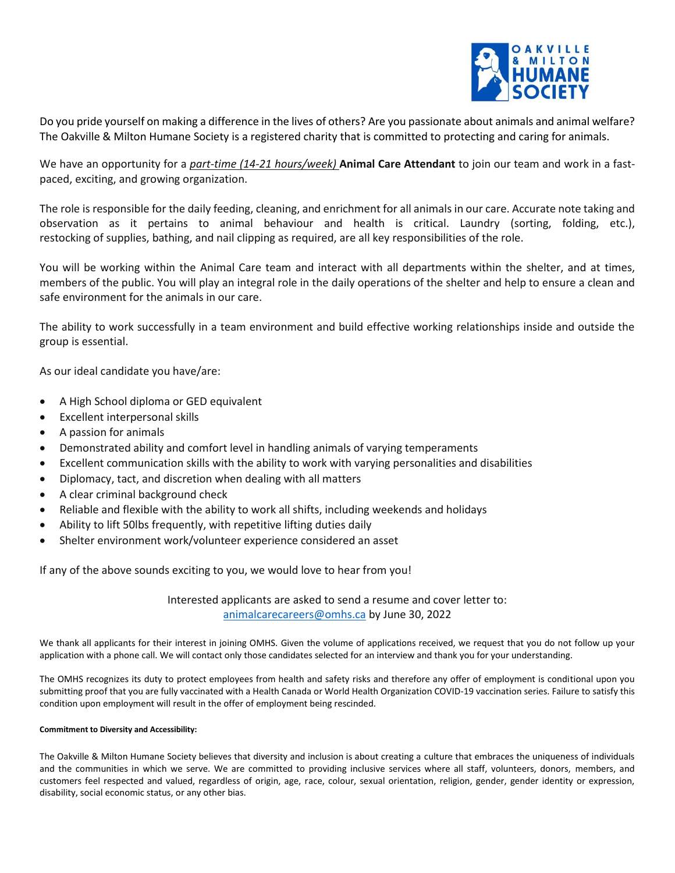

Do you pride yourself on making a difference in the lives of others? Are you passionate about animals and animal welfare? The Oakville & Milton Humane Society is a registered charity that is committed to protecting and caring for animals.

We have an opportunity for a *part-time (14-21 hours/week)* **Animal Care Attendant** to join our team and work in a fastpaced, exciting, and growing organization.

The role is responsible for the daily feeding, cleaning, and enrichment for all animals in our care. Accurate note taking and observation as it pertains to animal behaviour and health is critical. Laundry (sorting, folding, etc.), restocking of supplies, bathing, and nail clipping as required, are all key responsibilities of the role.

You will be working within the Animal Care team and interact with all departments within the shelter, and at times, members of the public. You will play an integral role in the daily operations of the shelter and help to ensure a clean and safe environment for the animals in our care.

The ability to work successfully in a team environment and build effective working relationships inside and outside the group is essential.

As our ideal candidate you have/are:

- A High School diploma or GED equivalent
- Excellent interpersonal skills
- A passion for animals
- Demonstrated ability and comfort level in handling animals of varying temperaments
- Excellent communication skills with the ability to work with varying personalities and disabilities
- Diplomacy, tact, and discretion when dealing with all matters
- A clear criminal background check
- Reliable and flexible with the ability to work all shifts, including weekends and holidays
- Ability to lift 50lbs frequently, with repetitive lifting duties daily
- Shelter environment work/volunteer experience considered an asset

If any of the above sounds exciting to you, we would love to hear from you!

Interested applicants are asked to send a resume and cover letter to: [animalcarecareers@omhs.ca](mailto:animalcarecareers@omhs.ca) by June 30, 2022

We thank all applicants for their interest in joining OMHS. Given the volume of applications received, we request that you do not follow up your application with a phone call. We will contact only those candidates selected for an interview and thank you for your understanding.

The OMHS recognizes its duty to protect employees from health and safety risks and therefore any offer of employment is conditional upon you submitting proof that you are fully vaccinated with a Health Canada or World Health Organization COVID-19 vaccination series. Failure to satisfy this condition upon employment will result in the offer of employment being rescinded.

## **Commitment to Diversity and Accessibility:**

The Oakville & Milton Humane Society believes that diversity and inclusion is about creating a culture that embraces the uniqueness of individuals and the communities in which we serve. We are committed to providing inclusive services where all staff, volunteers, donors, members, and customers feel respected and valued, regardless of origin, age, race, colour, sexual orientation, religion, gender, gender identity or expression, disability, social economic status, or any other bias.